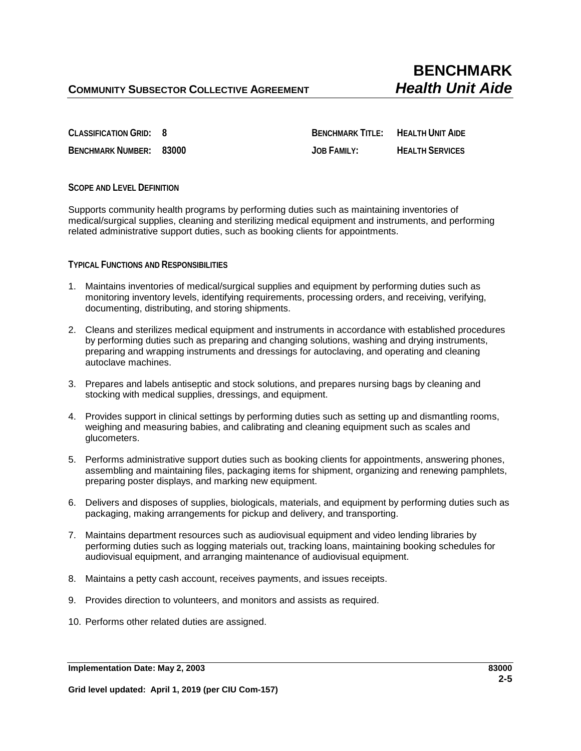**CLASSIFICATION GRID: 8 BENCHMARK TITLE: HEALTH UNIT AIDE BENCHMARK NUMBER: 83000 JOB FAMILY: HEALTH SERVICES**

**SCOPE AND LEVEL DEFINITION**

Supports community health programs by performing duties such as maintaining inventories of medical/surgical supplies, cleaning and sterilizing medical equipment and instruments, and performing related administrative support duties, such as booking clients for appointments.

**TYPICAL FUNCTIONS AND RESPONSIBILITIES**

- 1. Maintains inventories of medical/surgical supplies and equipment by performing duties such as monitoring inventory levels, identifying requirements, processing orders, and receiving, verifying, documenting, distributing, and storing shipments.
- 2. Cleans and sterilizes medical equipment and instruments in accordance with established procedures by performing duties such as preparing and changing solutions, washing and drying instruments, preparing and wrapping instruments and dressings for autoclaving, and operating and cleaning autoclave machines.
- 3. Prepares and labels antiseptic and stock solutions, and prepares nursing bags by cleaning and stocking with medical supplies, dressings, and equipment.
- 4. Provides support in clinical settings by performing duties such as setting up and dismantling rooms, weighing and measuring babies, and calibrating and cleaning equipment such as scales and glucometers.
- 5. Performs administrative support duties such as booking clients for appointments, answering phones, assembling and maintaining files, packaging items for shipment, organizing and renewing pamphlets, preparing poster displays, and marking new equipment.
- 6. Delivers and disposes of supplies, biologicals, materials, and equipment by performing duties such as packaging, making arrangements for pickup and delivery, and transporting.
- 7. Maintains department resources such as audiovisual equipment and video lending libraries by performing duties such as logging materials out, tracking loans, maintaining booking schedules for audiovisual equipment, and arranging maintenance of audiovisual equipment.
- 8. Maintains a petty cash account, receives payments, and issues receipts.
- 9. Provides direction to volunteers, and monitors and assists as required.
- 10. Performs other related duties are assigned.

**Implementation Date: May 2, 2003 83000**